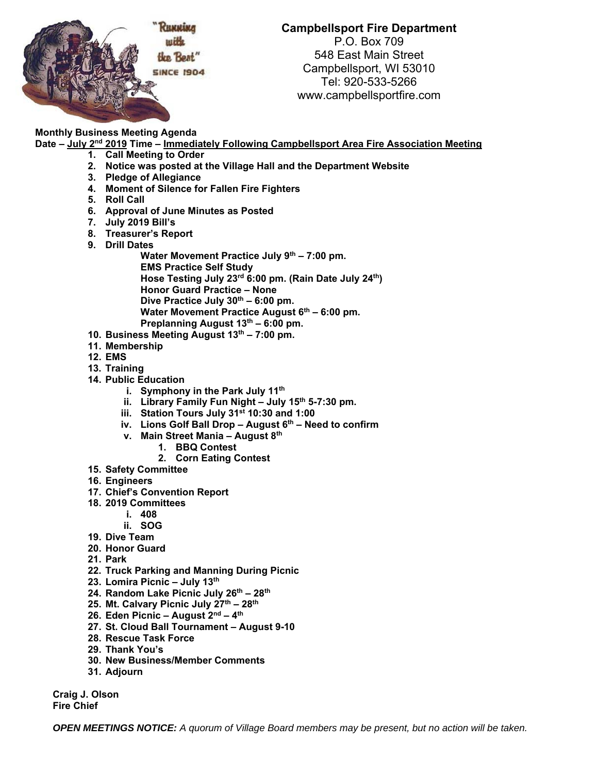

## **Campbellsport Fire Department**

P.O. Box 709 548 East Main Street Campbellsport, WI 53010 Tel: 920-533-5266 www.campbellsportfire.com

## **Monthly Business Meeting Agenda**

- **Date July 2nd 2019 Time Immediately Following Campbellsport Area Fire Association Meeting** 
	- **1. Call Meeting to Order**
	- **2. Notice was posted at the Village Hall and the Department Website**
	- **3. Pledge of Allegiance**
	- **4. Moment of Silence for Fallen Fire Fighters**
	- **5. Roll Call**
	- **6. Approval of June Minutes as Posted**
	- **7. July 2019 Bill's**
	- **8. Treasurer's Report**
	- **9. Drill Dates** 
		- Water Movement Practice July 9<sup>th</sup> 7:00 pm. **EMS Practice Self Study Hose Testing July 23rd 6:00 pm. (Rain Date July 24th) Honor Guard Practice – None**  Dive Practice July 30<sup>th</sup> – 6:00 pm. Water Movement Practice August 6<sup>th</sup> – 6:00 pm. Preplanning August 13<sup>th</sup> – 6:00 pm.
	- **10. Business Meeting August 13th 7:00 pm.**
	- **11. Membership**
	- **12. EMS**
	- **13. Training**
	- **14. Public Education** 
		- **i. Symphony in the Park July 11th**
		- ii. Library Family Fun Night July 15<sup>th</sup> 5-7:30 pm.
		- **iii. Station Tours July 31st 10:30 and 1:00**
		- iv. Lions Golf Ball Drop August 6<sup>th</sup> Need to confirm
		- **v. Main Street Mania August 8th** 
			- **1. BBQ Contest** 
				- **2. Corn Eating Contest**
	- **15. Safety Committee**
	- **16. Engineers**
	- **17. Chief's Convention Report**
	- **18. 2019 Committees** 
		- **i. 408**
		- **ii. SOG**
	- **19. Dive Team**
	- **20. Honor Guard**
	- **21. Park**
	- **22. Truck Parking and Manning During Picnic**
	- **23. Lomira Picnic July 13th**
	- **24. Random Lake Picnic July 26th 28th**
	- **25. Mt. Calvary Picnic July 27th 28th**
	- **26. Eden Picnic August 2nd 4th**
	- **27. St. Cloud Ball Tournament August 9-10**
	- **28. Rescue Task Force**
	- **29. Thank You's**
	- **30. New Business/Member Comments**
	- **31. Adjourn**

**Craig J. Olson Fire Chief** 

*OPEN MEETINGS NOTICE: A quorum of Village Board members may be present, but no action will be taken.*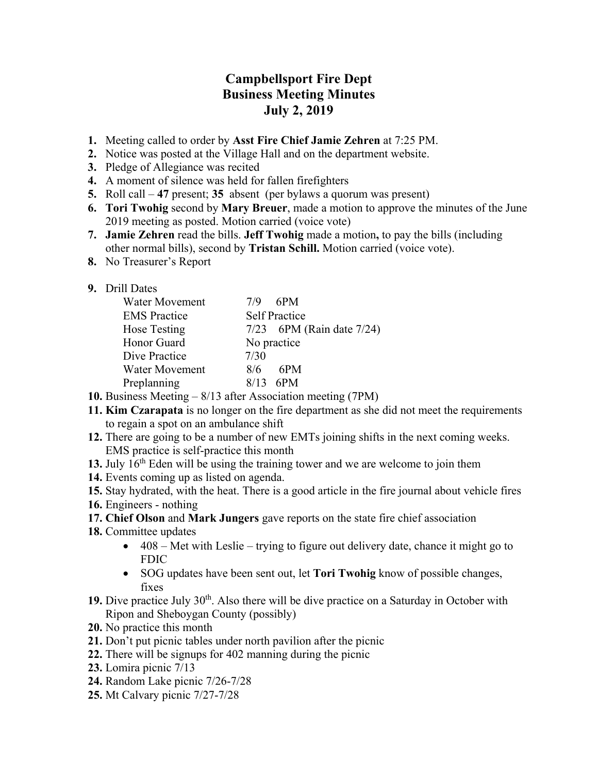## **Campbellsport Fire Dept Business Meeting Minutes July 2, 2019**

- **1.** Meeting called to order by **Asst Fire Chief Jamie Zehren** at 7:25 PM.
- **2.** Notice was posted at the Village Hall and on the department website.
- **3.** Pledge of Allegiance was recited
- **4.** A moment of silence was held for fallen firefighters
- **5.** Roll call **47** present; **35** absent (per bylaws a quorum was present)
- **6. Tori Twohig** second by **Mary Breuer**, made a motion to approve the minutes of the June 2019 meeting as posted. Motion carried (voice vote)
- **7. Jamie Zehren** read the bills. **Jeff Twohig** made a motion**,** to pay the bills (including other normal bills), second by **Tristan Schill.** Motion carried (voice vote).
- **8.** No Treasurer's Report

## **9.** Drill Dates

| Water Movement      | 7/9<br>- 6PM                   |
|---------------------|--------------------------------|
| <b>EMS</b> Practice | <b>Self Practice</b>           |
| Hose Testing        | $7/23$ 6PM (Rain date $7/24$ ) |
| Honor Guard         | No practice                    |
| Dive Practice       | 7/30                           |
| Water Movement      | 6PM<br>8/6                     |
| Preplanning         | $8/13$ 6PM                     |

- **10.** Business Meeting 8/13 after Association meeting (7PM)
- **11. Kim Czarapata** is no longer on the fire department as she did not meet the requirements to regain a spot on an ambulance shift
- **12.** There are going to be a number of new EMTs joining shifts in the next coming weeks. EMS practice is self-practice this month
- 13. July 16<sup>th</sup> Eden will be using the training tower and we are welcome to join them
- **14.** Events coming up as listed on agenda.
- **15.** Stay hydrated, with the heat. There is a good article in the fire journal about vehicle fires
- **16.** Engineers nothing
- **17. Chief Olson** and **Mark Jungers** gave reports on the state fire chief association
- **18.** Committee updates
	- $\bullet$  408 Met with Leslie trying to figure out delivery date, chance it might go to FDIC
	- SOG updates have been sent out, let **Tori Twohig** know of possible changes, fixes
- 19. Dive practice July 30<sup>th</sup>. Also there will be dive practice on a Saturday in October with Ripon and Sheboygan County (possibly)
- **20.** No practice this month
- **21.** Don't put picnic tables under north pavilion after the picnic
- **22.** There will be signups for 402 manning during the picnic
- **23.** Lomira picnic 7/13
- **24.** Random Lake picnic 7/26-7/28
- **25.** Mt Calvary picnic 7/27-7/28